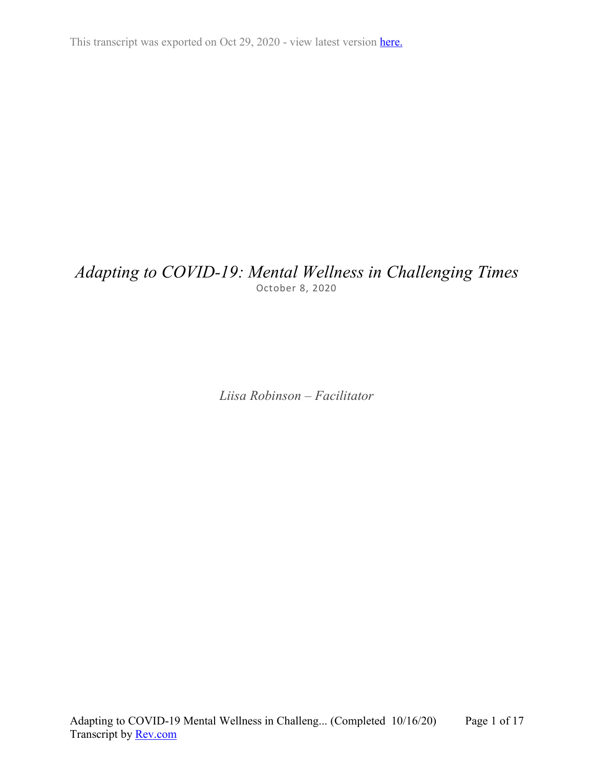This transcript was exported on Oct 29, 2020 - view latest version [here.](https://www.rev.com/transcript-editor/Edit?token=NMrOZTwvyqTVZ_TzQaMEGXV3gq3OwEVawIdu7T2lBqk3q_sJXl9V1ioHjfnCtDDGpHFBIGKliQW3hHISxwty8yF786Y&loadFrom=DocumentHeaderDeepLink)

## *Adapting to COVID-19: Mental Wellness in Challenging Times* October 8, 2020

*Liisa Robinson – Facilitator*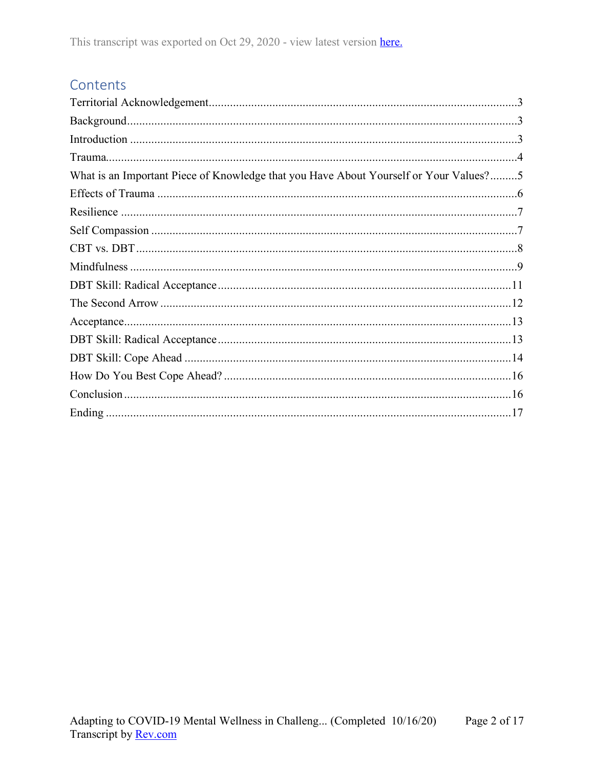# Contents

| What is an Important Piece of Knowledge that you Have About Yourself or Your Values?5 |
|---------------------------------------------------------------------------------------|
|                                                                                       |
|                                                                                       |
|                                                                                       |
|                                                                                       |
|                                                                                       |
|                                                                                       |
|                                                                                       |
|                                                                                       |
|                                                                                       |
|                                                                                       |
|                                                                                       |
|                                                                                       |
|                                                                                       |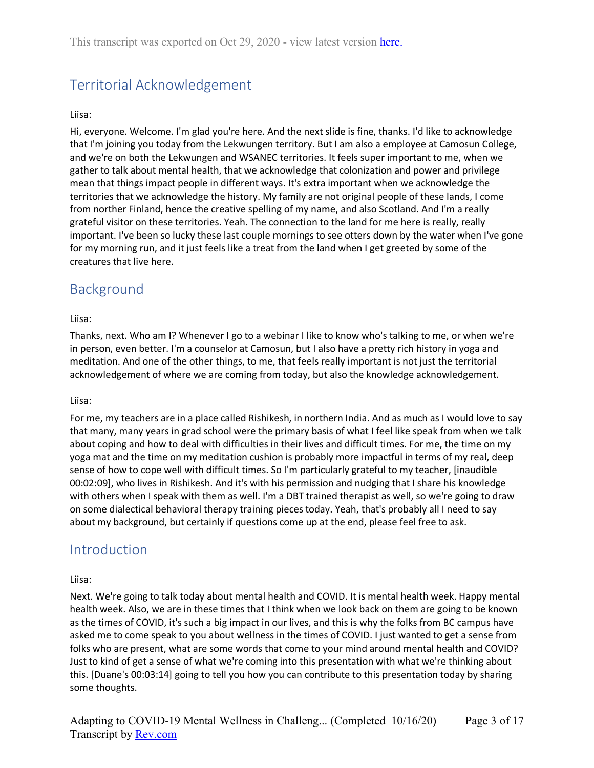# <span id="page-2-0"></span>Territorial Acknowledgement

#### Liisa:

Hi, everyone. Welcome. I'm glad you're here. And the next slide is fine, thanks. I'd like to acknowledge that I'm joining you today from the Lekwungen territory. But I am also a employee at Camosun College, and we're on both the Lekwungen and WSANEC territories. It feels super important to me, when we gather to talk about mental health, that we acknowledge that colonization and power and privilege mean that things impact people in different ways. It's extra important when we acknowledge the territories that we acknowledge the history. My family are not original people of these lands, I come from norther Finland, hence the creative spelling of my name, and also Scotland. And I'm a really grateful visitor on these territories. Yeah. The connection to the land for me here is really, really important. I've been so lucky these last couple mornings to see otters down by the water when I've gone for my morning run, and it just feels like a treat from the land when I get greeted by some of the creatures that live here.

### <span id="page-2-1"></span>Background

#### Liisa:

Thanks, next. Who am I? Whenever I go to a webinar I like to know who's talking to me, or when we're in person, even better. I'm a counselor at Camosun, but I also have a pretty rich history in yoga and meditation. And one of the other things, to me, that feels really important is not just the territorial acknowledgement of where we are coming from today, but also the knowledge acknowledgement.

#### Liisa:

For me, my teachers are in a place called Rishikesh, in northern India. And as much as I would love to say that many, many years in grad school were the primary basis of what I feel like speak from when we talk about coping and how to deal with difficulties in their lives and difficult times. For me, the time on my yoga mat and the time on my meditation cushion is probably more impactful in terms of my real, deep sense of how to cope well with difficult times. So I'm particularly grateful to my teacher, [inaudible 00:02:09], who lives in Rishikesh. And it's with his permission and nudging that I share his knowledge with others when I speak with them as well. I'm a DBT trained therapist as well, so we're going to draw on some dialectical behavioral therapy training pieces today. Yeah, that's probably all I need to say about my background, but certainly if questions come up at the end, please feel free to ask.

### <span id="page-2-2"></span>**Introduction**

#### Liisa:

Next. We're going to talk today about mental health and COVID. It is mental health week. Happy mental health week. Also, we are in these times that I think when we look back on them are going to be known as the times of COVID, it's such a big impact in our lives, and this is why the folks from BC campus have asked me to come speak to you about wellness in the times of COVID. I just wanted to get a sense from folks who are present, what are some words that come to your mind around mental health and COVID? Just to kind of get a sense of what we're coming into this presentation with what we're thinking about this. [Duane's 00:03:14] going to tell you how you can contribute to this presentation today by sharing some thoughts.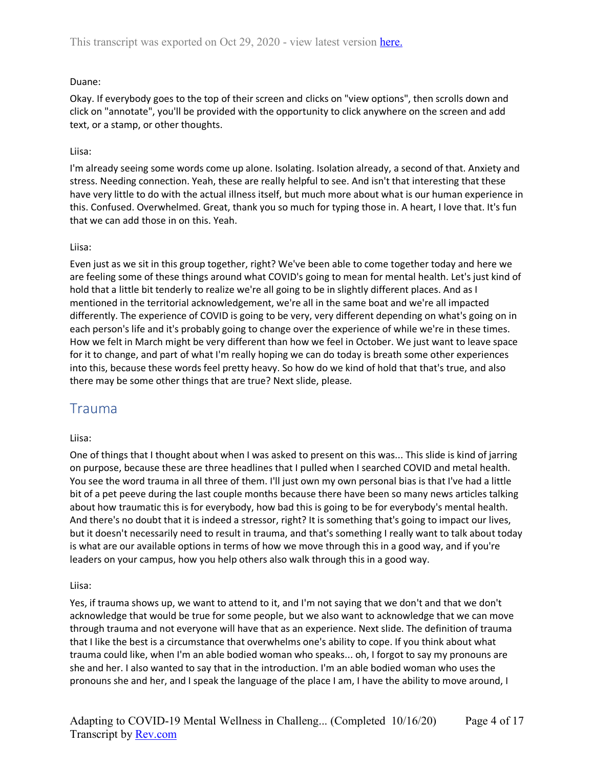#### Duane:

Okay. If everybody goes to the top of their screen and clicks on "view options", then scrolls down and click on "annotate", you'll be provided with the opportunity to click anywhere on the screen and add text, or a stamp, or other thoughts.

#### Liisa:

I'm already seeing some words come up alone. Isolating. Isolation already, a second of that. Anxiety and stress. Needing connection. Yeah, these are really helpful to see. And isn't that interesting that these have very little to do with the actual illness itself, but much more about what is our human experience in this. Confused. Overwhelmed. Great, thank you so much for typing those in. A heart, I love that. It's fun that we can add those in on this. Yeah.

#### Liisa:

Even just as we sit in this group together, right? We've been able to come together today and here we are feeling some of these things around what COVID's going to mean for mental health. Let's just kind of hold that a little bit tenderly to realize we're all going to be in slightly different places. And as I mentioned in the territorial acknowledgement, we're all in the same boat and we're all impacted differently. The experience of COVID is going to be very, very different depending on what's going on in each person's life and it's probably going to change over the experience of while we're in these times. How we felt in March might be very different than how we feel in October. We just want to leave space for it to change, and part of what I'm really hoping we can do today is breath some other experiences into this, because these words feel pretty heavy. So how do we kind of hold that that's true, and also there may be some other things that are true? Next slide, please.

### <span id="page-3-0"></span>Trauma

#### Liisa:

One of things that I thought about when I was asked to present on this was... This slide is kind of jarring on purpose, because these are three headlines that I pulled when I searched COVID and metal health. You see the word trauma in all three of them. I'll just own my own personal bias is that I've had a little bit of a pet peeve during the last couple months because there have been so many news articles talking about how traumatic this is for everybody, how bad this is going to be for everybody's mental health. And there's no doubt that it is indeed a stressor, right? It is something that's going to impact our lives, but it doesn't necessarily need to result in trauma, and that's something I really want to talk about today is what are our available options in terms of how we move through this in a good way, and if you're leaders on your campus, how you help others also walk through this in a good way.

#### Liisa:

Yes, if trauma shows up, we want to attend to it, and I'm not saying that we don't and that we don't acknowledge that would be true for some people, but we also want to acknowledge that we can move through trauma and not everyone will have that as an experience. Next slide. The definition of trauma that I like the best is a circumstance that overwhelms one's ability to cope. If you think about what trauma could like, when I'm an able bodied woman who speaks... oh, I forgot to say my pronouns are she and her. I also wanted to say that in the introduction. I'm an able bodied woman who uses the pronouns she and her, and I speak the language of the place I am, I have the ability to move around, I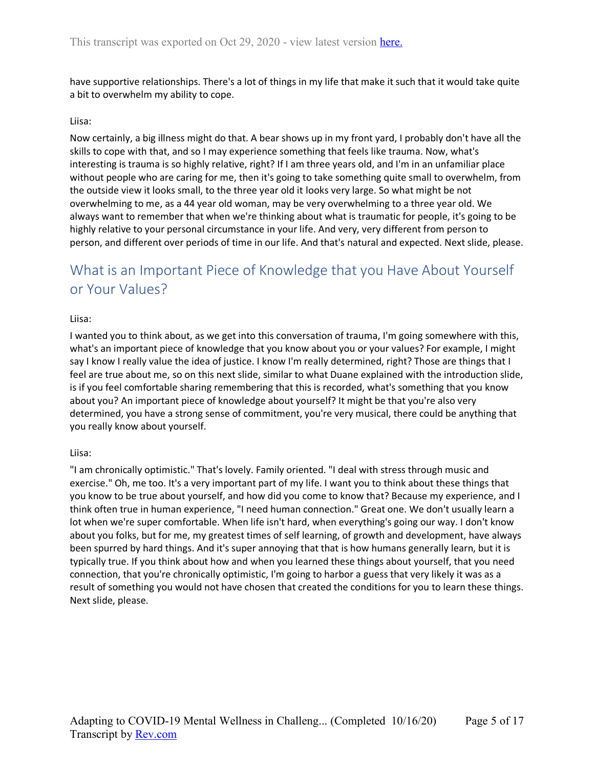have supportive relationships. There's a lot of things in my life that make it such that it would take quite a bit to overwhelm my ability to cope.

#### Liisa:

Now certainly, a big illness might do that. A bear shows up in my front yard, I probably don't have all the skills to cope with that, and so I may experience something that feels like trauma. Now, what's interesting is trauma is so highly relative, right? If I am three years old, and I'm in an unfamiliar place without people who are caring for me, then it's going to take something quite small to overwhelm, from the outside view it looks small, to the three year old it looks very large. So what might be not overwhelming to me, as a 44 year old woman, may be very overwhelming to a three year old. We always want to remember that when we're thinking about what is traumatic for people, it's going to be highly relative to your personal circumstance in your life. And very, very different from person to person, and different over periods of time in our life. And that's natural and expected. Next slide, please.

# <span id="page-4-0"></span>What is an Important Piece of Knowledge that you Have About Yourself or Your Values?

#### Liisa:

I wanted you to think about, as we get into this conversation of trauma, I'm going somewhere with this, what's an important piece of knowledge that you know about you or your values? For example, I might say I know I really value the idea of justice. I know I'm really determined, right? Those are things that I feel are true about me, so on this next slide, similar to what Duane explained with the introduction slide, is if you feel comfortable sharing remembering that this is recorded, what's something that you know about you? An important piece of knowledge about yourself? It might be that you're also very determined, you have a strong sense of commitment, you're very musical, there could be anything that you really know about yourself.

#### Liisa:

"I am chronically optimistic." That's lovely. Family oriented. "I deal with stress through music and exercise." Oh, me too. It's a very important part of my life. I want you to think about these things that you know to be true about yourself, and how did you come to know that? Because my experience, and I think often true in human experience, "I need human connection." Great one. We don't usually learn a lot when we're super comfortable. When life isn't hard, when everything's going our way. I don't know about you folks, but for me, my greatest times of self learning, of growth and development, have always been spurred by hard things. And it's super annoying that that is how humans generally learn, but it is typically true. If you think about how and when you learned these things about yourself, that you need connection, that you're chronically optimistic, I'm going to harbor a guess that very likely it was as a result of something you would not have chosen that created the conditions for you to learn these things. Next slide, please.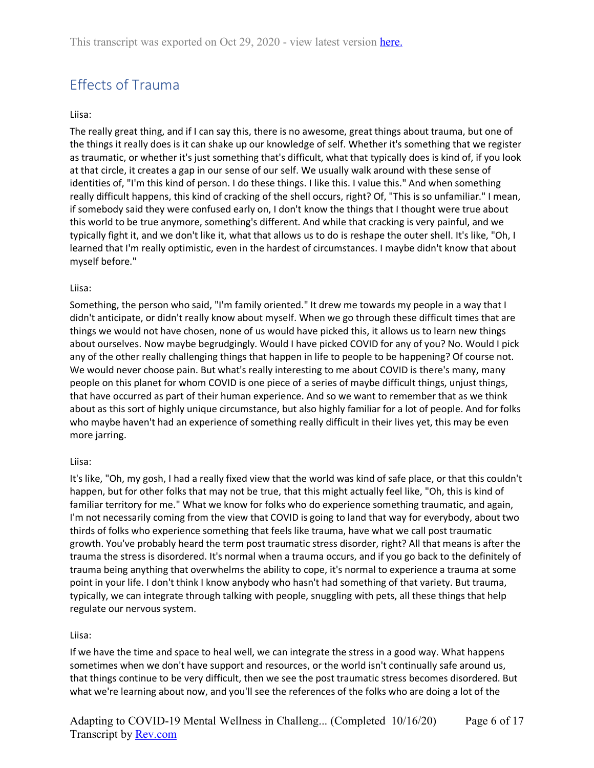# <span id="page-5-0"></span>Effects of Trauma

#### Liisa:

The really great thing, and if I can say this, there is no awesome, great things about trauma, but one of the things it really does is it can shake up our knowledge of self. Whether it's something that we register as traumatic, or whether it's just something that's difficult, what that typically does is kind of, if you look at that circle, it creates a gap in our sense of our self. We usually walk around with these sense of identities of, "I'm this kind of person. I do these things. I like this. I value this." And when something really difficult happens, this kind of cracking of the shell occurs, right? Of, "This is so unfamiliar." I mean, if somebody said they were confused early on, I don't know the things that I thought were true about this world to be true anymore, something's different. And while that cracking is very painful, and we typically fight it, and we don't like it, what that allows us to do is reshape the outer shell. It's like, "Oh, I learned that I'm really optimistic, even in the hardest of circumstances. I maybe didn't know that about myself before."

#### Liisa:

Something, the person who said, "I'm family oriented." It drew me towards my people in a way that I didn't anticipate, or didn't really know about myself. When we go through these difficult times that are things we would not have chosen, none of us would have picked this, it allows us to learn new things about ourselves. Now maybe begrudgingly. Would I have picked COVID for any of you? No. Would I pick any of the other really challenging things that happen in life to people to be happening? Of course not. We would never choose pain. But what's really interesting to me about COVID is there's many, many people on this planet for whom COVID is one piece of a series of maybe difficult things, unjust things, that have occurred as part of their human experience. And so we want to remember that as we think about as this sort of highly unique circumstance, but also highly familiar for a lot of people. And for folks who maybe haven't had an experience of something really difficult in their lives yet, this may be even more jarring.

#### Liisa:

It's like, "Oh, my gosh, I had a really fixed view that the world was kind of safe place, or that this couldn't happen, but for other folks that may not be true, that this might actually feel like, "Oh, this is kind of familiar territory for me." What we know for folks who do experience something traumatic, and again, I'm not necessarily coming from the view that COVID is going to land that way for everybody, about two thirds of folks who experience something that feels like trauma, have what we call post traumatic growth. You've probably heard the term post traumatic stress disorder, right? All that means is after the trauma the stress is disordered. It's normal when a trauma occurs, and if you go back to the definitely of trauma being anything that overwhelms the ability to cope, it's normal to experience a trauma at some point in your life. I don't think I know anybody who hasn't had something of that variety. But trauma, typically, we can integrate through talking with people, snuggling with pets, all these things that help regulate our nervous system.

#### Liisa:

If we have the time and space to heal well, we can integrate the stress in a good way. What happens sometimes when we don't have support and resources, or the world isn't continually safe around us, that things continue to be very difficult, then we see the post traumatic stress becomes disordered. But what we're learning about now, and you'll see the references of the folks who are doing a lot of the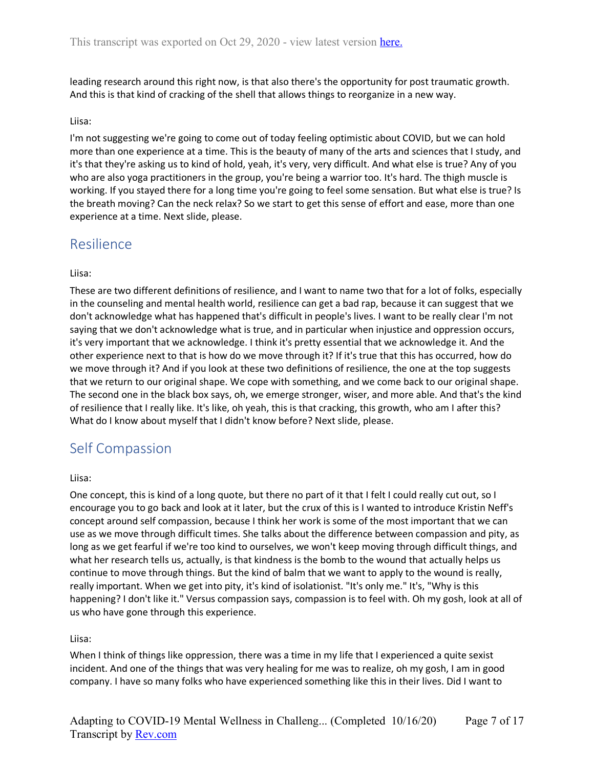leading research around this right now, is that also there's the opportunity for post traumatic growth. And this is that kind of cracking of the shell that allows things to reorganize in a new way.

#### Liisa:

I'm not suggesting we're going to come out of today feeling optimistic about COVID, but we can hold more than one experience at a time. This is the beauty of many of the arts and sciences that I study, and it's that they're asking us to kind of hold, yeah, it's very, very difficult. And what else is true? Any of you who are also yoga practitioners in the group, you're being a warrior too. It's hard. The thigh muscle is working. If you stayed there for a long time you're going to feel some sensation. But what else is true? Is the breath moving? Can the neck relax? So we start to get this sense of effort and ease, more than one experience at a time. Next slide, please.

### <span id="page-6-0"></span>Resilience

#### Liisa:

These are two different definitions of resilience, and I want to name two that for a lot of folks, especially in the counseling and mental health world, resilience can get a bad rap, because it can suggest that we don't acknowledge what has happened that's difficult in people's lives. I want to be really clear I'm not saying that we don't acknowledge what is true, and in particular when injustice and oppression occurs, it's very important that we acknowledge. I think it's pretty essential that we acknowledge it. And the other experience next to that is how do we move through it? If it's true that this has occurred, how do we move through it? And if you look at these two definitions of resilience, the one at the top suggests that we return to our original shape. We cope with something, and we come back to our original shape. The second one in the black box says, oh, we emerge stronger, wiser, and more able. And that's the kind of resilience that I really like. It's like, oh yeah, this is that cracking, this growth, who am I after this? What do I know about myself that I didn't know before? Next slide, please.

### <span id="page-6-1"></span>Self Compassion

#### Liisa:

One concept, this is kind of a long quote, but there no part of it that I felt I could really cut out, so I encourage you to go back and look at it later, but the crux of this is I wanted to introduce Kristin Neff's concept around self compassion, because I think her work is some of the most important that we can use as we move through difficult times. She talks about the difference between compassion and pity, as long as we get fearful if we're too kind to ourselves, we won't keep moving through difficult things, and what her research tells us, actually, is that kindness is the bomb to the wound that actually helps us continue to move through things. But the kind of balm that we want to apply to the wound is really, really important. When we get into pity, it's kind of isolationist. "It's only me." It's, "Why is this happening? I don't like it." Versus compassion says, compassion is to feel with. Oh my gosh, look at all of us who have gone through this experience.

#### Liisa:

When I think of things like oppression, there was a time in my life that I experienced a quite sexist incident. And one of the things that was very healing for me was to realize, oh my gosh, I am in good company. I have so many folks who have experienced something like this in their lives. Did I want to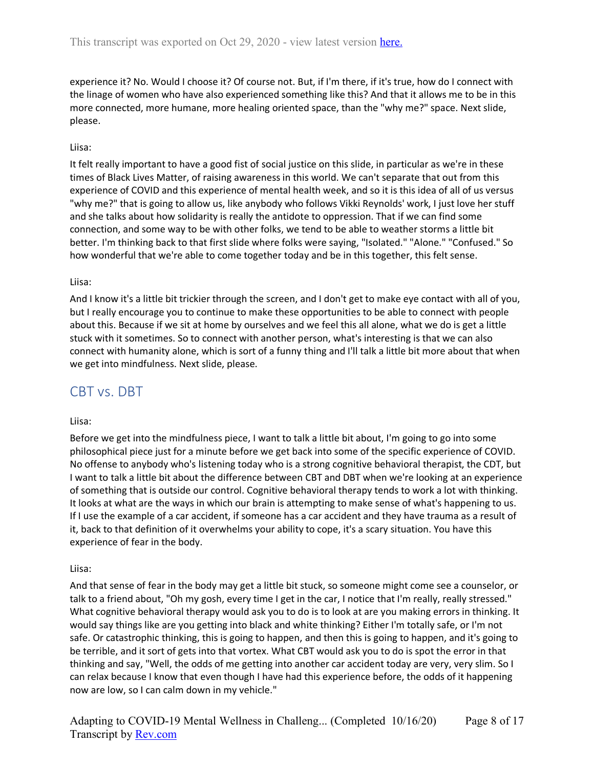experience it? No. Would I choose it? Of course not. But, if I'm there, if it's true, how do I connect with the linage of women who have also experienced something like this? And that it allows me to be in this more connected, more humane, more healing oriented space, than the "why me?" space. Next slide, please.

#### Liisa:

It felt really important to have a good fist of social justice on this slide, in particular as we're in these times of Black Lives Matter, of raising awareness in this world. We can't separate that out from this experience of COVID and this experience of mental health week, and so it is this idea of all of us versus "why me?" that is going to allow us, like anybody who follows Vikki Reynolds' work, I just love her stuff and she talks about how solidarity is really the antidote to oppression. That if we can find some connection, and some way to be with other folks, we tend to be able to weather storms a little bit better. I'm thinking back to that first slide where folks were saying, "Isolated." "Alone." "Confused." So how wonderful that we're able to come together today and be in this together, this felt sense.

#### Liisa:

And I know it's a little bit trickier through the screen, and I don't get to make eye contact with all of you, but I really encourage you to continue to make these opportunities to be able to connect with people about this. Because if we sit at home by ourselves and we feel this all alone, what we do is get a little stuck with it sometimes. So to connect with another person, what's interesting is that we can also connect with humanity alone, which is sort of a funny thing and I'll talk a little bit more about that when we get into mindfulness. Next slide, please.

### <span id="page-7-0"></span>CBT vs. DBT

#### Liisa:

Before we get into the mindfulness piece, I want to talk a little bit about, I'm going to go into some philosophical piece just for a minute before we get back into some of the specific experience of COVID. No offense to anybody who's listening today who is a strong cognitive behavioral therapist, the CDT, but I want to talk a little bit about the difference between CBT and DBT when we're looking at an experience of something that is outside our control. Cognitive behavioral therapy tends to work a lot with thinking. It looks at what are the ways in which our brain is attempting to make sense of what's happening to us. If I use the example of a car accident, if someone has a car accident and they have trauma as a result of it, back to that definition of it overwhelms your ability to cope, it's a scary situation. You have this experience of fear in the body.

#### Liisa:

And that sense of fear in the body may get a little bit stuck, so someone might come see a counselor, or talk to a friend about, "Oh my gosh, every time I get in the car, I notice that I'm really, really stressed." What cognitive behavioral therapy would ask you to do is to look at are you making errors in thinking. It would say things like are you getting into black and white thinking? Either I'm totally safe, or I'm not safe. Or catastrophic thinking, this is going to happen, and then this is going to happen, and it's going to be terrible, and it sort of gets into that vortex. What CBT would ask you to do is spot the error in that thinking and say, "Well, the odds of me getting into another car accident today are very, very slim. So I can relax because I know that even though I have had this experience before, the odds of it happening now are low, so I can calm down in my vehicle."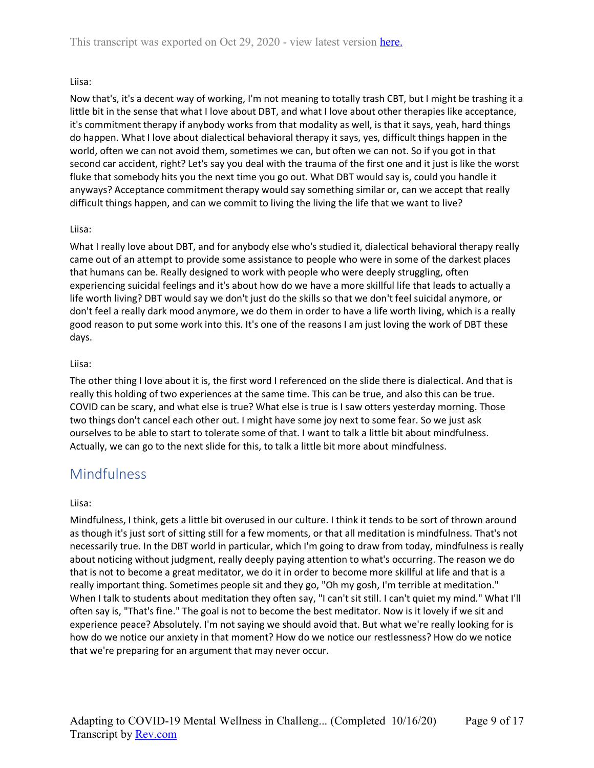#### Liisa:

Now that's, it's a decent way of working, I'm not meaning to totally trash CBT, but I might be trashing it a little bit in the sense that what I love about DBT, and what I love about other therapies like acceptance, it's commitment therapy if anybody works from that modality as well, is that it says, yeah, hard things do happen. What I love about dialectical behavioral therapy it says, yes, difficult things happen in the world, often we can not avoid them, sometimes we can, but often we can not. So if you got in that second car accident, right? Let's say you deal with the trauma of the first one and it just is like the worst fluke that somebody hits you the next time you go out. What DBT would say is, could you handle it anyways? Acceptance commitment therapy would say something similar or, can we accept that really difficult things happen, and can we commit to living the living the life that we want to live?

#### Liisa:

What I really love about DBT, and for anybody else who's studied it, dialectical behavioral therapy really came out of an attempt to provide some assistance to people who were in some of the darkest places that humans can be. Really designed to work with people who were deeply struggling, often experiencing suicidal feelings and it's about how do we have a more skillful life that leads to actually a life worth living? DBT would say we don't just do the skills so that we don't feel suicidal anymore, or don't feel a really dark mood anymore, we do them in order to have a life worth living, which is a really good reason to put some work into this. It's one of the reasons I am just loving the work of DBT these days.

#### Liisa:

The other thing I love about it is, the first word I referenced on the slide there is dialectical. And that is really this holding of two experiences at the same time. This can be true, and also this can be true. COVID can be scary, and what else is true? What else is true is I saw otters yesterday morning. Those two things don't cancel each other out. I might have some joy next to some fear. So we just ask ourselves to be able to start to tolerate some of that. I want to talk a little bit about mindfulness. Actually, we can go to the next slide for this, to talk a little bit more about mindfulness.

### <span id="page-8-0"></span>**Mindfulness**

#### Liisa:

Mindfulness, I think, gets a little bit overused in our culture. I think it tends to be sort of thrown around as though it's just sort of sitting still for a few moments, or that all meditation is mindfulness. That's not necessarily true. In the DBT world in particular, which I'm going to draw from today, mindfulness is really about noticing without judgment, really deeply paying attention to what's occurring. The reason we do that is not to become a great meditator, we do it in order to become more skillful at life and that is a really important thing. Sometimes people sit and they go, "Oh my gosh, I'm terrible at meditation." When I talk to students about meditation they often say, "I can't sit still. I can't quiet my mind." What I'll often say is, "That's fine." The goal is not to become the best meditator. Now is it lovely if we sit and experience peace? Absolutely. I'm not saying we should avoid that. But what we're really looking for is how do we notice our anxiety in that moment? How do we notice our restlessness? How do we notice that we're preparing for an argument that may never occur.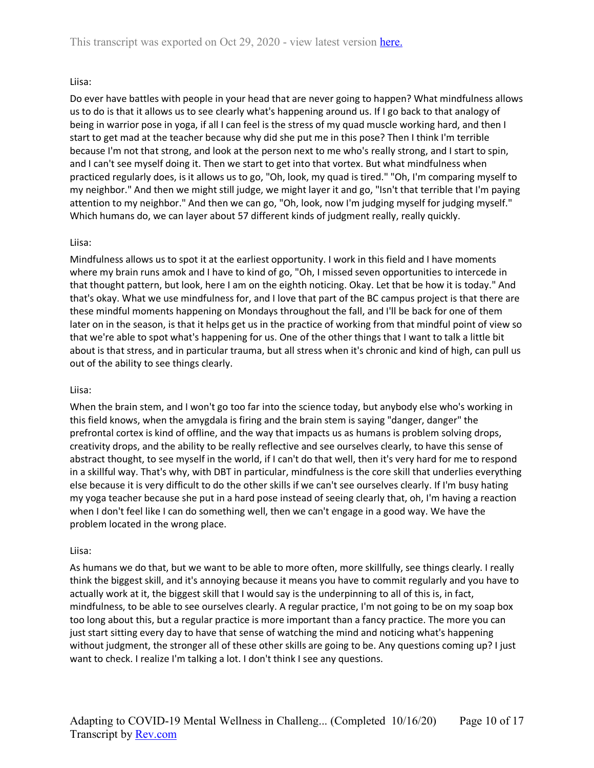#### Liisa:

Do ever have battles with people in your head that are never going to happen? What mindfulness allows us to do is that it allows us to see clearly what's happening around us. If I go back to that analogy of being in warrior pose in yoga, if all I can feel is the stress of my quad muscle working hard, and then I start to get mad at the teacher because why did she put me in this pose? Then I think I'm terrible because I'm not that strong, and look at the person next to me who's really strong, and I start to spin, and I can't see myself doing it. Then we start to get into that vortex. But what mindfulness when practiced regularly does, is it allows us to go, "Oh, look, my quad is tired." "Oh, I'm comparing myself to my neighbor." And then we might still judge, we might layer it and go, "Isn't that terrible that I'm paying attention to my neighbor." And then we can go, "Oh, look, now I'm judging myself for judging myself." Which humans do, we can layer about 57 different kinds of judgment really, really quickly.

#### Liisa:

Mindfulness allows us to spot it at the earliest opportunity. I work in this field and I have moments where my brain runs amok and I have to kind of go, "Oh, I missed seven opportunities to intercede in that thought pattern, but look, here I am on the eighth noticing. Okay. Let that be how it is today." And that's okay. What we use mindfulness for, and I love that part of the BC campus project is that there are these mindful moments happening on Mondays throughout the fall, and I'll be back for one of them later on in the season, is that it helps get us in the practice of working from that mindful point of view so that we're able to spot what's happening for us. One of the other things that I want to talk a little bit about is that stress, and in particular trauma, but all stress when it's chronic and kind of high, can pull us out of the ability to see things clearly.

#### Liisa:

When the brain stem, and I won't go too far into the science today, but anybody else who's working in this field knows, when the amygdala is firing and the brain stem is saying "danger, danger" the prefrontal cortex is kind of offline, and the way that impacts us as humans is problem solving drops, creativity drops, and the ability to be really reflective and see ourselves clearly, to have this sense of abstract thought, to see myself in the world, if I can't do that well, then it's very hard for me to respond in a skillful way. That's why, with DBT in particular, mindfulness is the core skill that underlies everything else because it is very difficult to do the other skills if we can't see ourselves clearly. If I'm busy hating my yoga teacher because she put in a hard pose instead of seeing clearly that, oh, I'm having a reaction when I don't feel like I can do something well, then we can't engage in a good way. We have the problem located in the wrong place.

#### Liisa:

As humans we do that, but we want to be able to more often, more skillfully, see things clearly. I really think the biggest skill, and it's annoying because it means you have to commit regularly and you have to actually work at it, the biggest skill that I would say is the underpinning to all of this is, in fact, mindfulness, to be able to see ourselves clearly. A regular practice, I'm not going to be on my soap box too long about this, but a regular practice is more important than a fancy practice. The more you can just start sitting every day to have that sense of watching the mind and noticing what's happening without judgment, the stronger all of these other skills are going to be. Any questions coming up? I just want to check. I realize I'm talking a lot. I don't think I see any questions.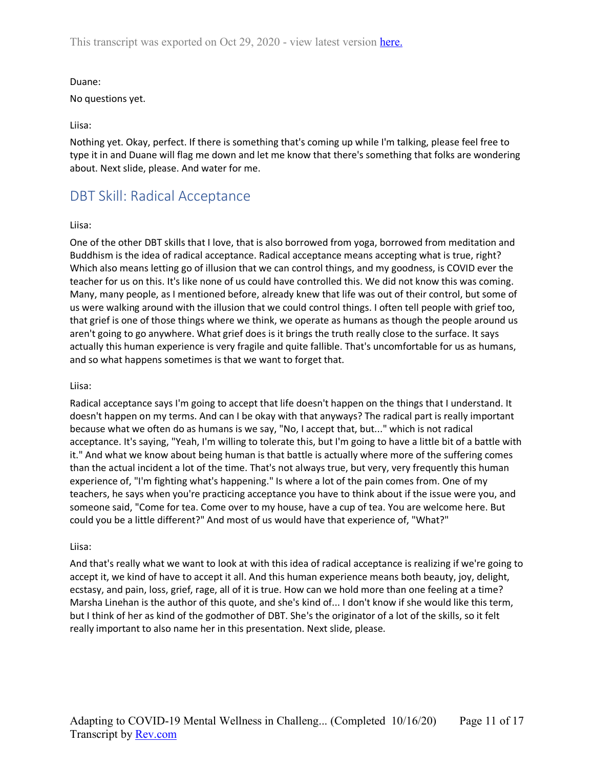#### Duane:

No questions yet.

#### Liisa:

Nothing yet. Okay, perfect. If there is something that's coming up while I'm talking, please feel free to type it in and Duane will flag me down and let me know that there's something that folks are wondering about. Next slide, please. And water for me.

## <span id="page-10-0"></span>DBT Skill: Radical Acceptance

#### Liisa:

One of the other DBT skills that I love, that is also borrowed from yoga, borrowed from meditation and Buddhism is the idea of radical acceptance. Radical acceptance means accepting what is true, right? Which also means letting go of illusion that we can control things, and my goodness, is COVID ever the teacher for us on this. It's like none of us could have controlled this. We did not know this was coming. Many, many people, as I mentioned before, already knew that life was out of their control, but some of us were walking around with the illusion that we could control things. I often tell people with grief too, that grief is one of those things where we think, we operate as humans as though the people around us aren't going to go anywhere. What grief does is it brings the truth really close to the surface. It says actually this human experience is very fragile and quite fallible. That's uncomfortable for us as humans, and so what happens sometimes is that we want to forget that.

#### Liisa:

Radical acceptance says I'm going to accept that life doesn't happen on the things that I understand. It doesn't happen on my terms. And can I be okay with that anyways? The radical part is really important because what we often do as humans is we say, "No, I accept that, but..." which is not radical acceptance. It's saying, "Yeah, I'm willing to tolerate this, but I'm going to have a little bit of a battle with it." And what we know about being human is that battle is actually where more of the suffering comes than the actual incident a lot of the time. That's not always true, but very, very frequently this human experience of, "I'm fighting what's happening." Is where a lot of the pain comes from. One of my teachers, he says when you're practicing acceptance you have to think about if the issue were you, and someone said, "Come for tea. Come over to my house, have a cup of tea. You are welcome here. But could you be a little different?" And most of us would have that experience of, "What?"

#### Liisa:

And that's really what we want to look at with this idea of radical acceptance is realizing if we're going to accept it, we kind of have to accept it all. And this human experience means both beauty, joy, delight, ecstasy, and pain, loss, grief, rage, all of it is true. How can we hold more than one feeling at a time? Marsha Linehan is the author of this quote, and she's kind of... I don't know if she would like this term, but I think of her as kind of the godmother of DBT. She's the originator of a lot of the skills, so it felt really important to also name her in this presentation. Next slide, please.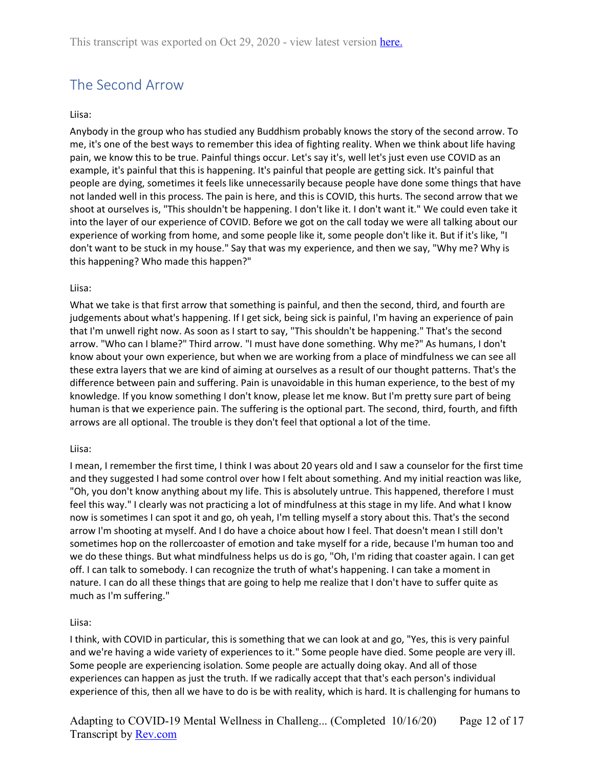# <span id="page-11-0"></span>The Second Arrow

#### Liisa:

Anybody in the group who has studied any Buddhism probably knows the story of the second arrow. To me, it's one of the best ways to remember this idea of fighting reality. When we think about life having pain, we know this to be true. Painful things occur. Let's say it's, well let's just even use COVID as an example, it's painful that this is happening. It's painful that people are getting sick. It's painful that people are dying, sometimes it feels like unnecessarily because people have done some things that have not landed well in this process. The pain is here, and this is COVID, this hurts. The second arrow that we shoot at ourselves is, "This shouldn't be happening. I don't like it. I don't want it." We could even take it into the layer of our experience of COVID. Before we got on the call today we were all talking about our experience of working from home, and some people like it, some people don't like it. But if it's like, "I don't want to be stuck in my house." Say that was my experience, and then we say, "Why me? Why is this happening? Who made this happen?"

#### Liisa:

What we take is that first arrow that something is painful, and then the second, third, and fourth are judgements about what's happening. If I get sick, being sick is painful, I'm having an experience of pain that I'm unwell right now. As soon as I start to say, "This shouldn't be happening." That's the second arrow. "Who can I blame?" Third arrow. "I must have done something. Why me?" As humans, I don't know about your own experience, but when we are working from a place of mindfulness we can see all these extra layers that we are kind of aiming at ourselves as a result of our thought patterns. That's the difference between pain and suffering. Pain is unavoidable in this human experience, to the best of my knowledge. If you know something I don't know, please let me know. But I'm pretty sure part of being human is that we experience pain. The suffering is the optional part. The second, third, fourth, and fifth arrows are all optional. The trouble is they don't feel that optional a lot of the time.

#### Liisa:

I mean, I remember the first time, I think I was about 20 years old and I saw a counselor for the first time and they suggested I had some control over how I felt about something. And my initial reaction was like, "Oh, you don't know anything about my life. This is absolutely untrue. This happened, therefore I must feel this way." I clearly was not practicing a lot of mindfulness at this stage in my life. And what I know now is sometimes I can spot it and go, oh yeah, I'm telling myself a story about this. That's the second arrow I'm shooting at myself. And I do have a choice about how I feel. That doesn't mean I still don't sometimes hop on the rollercoaster of emotion and take myself for a ride, because I'm human too and we do these things. But what mindfulness helps us do is go, "Oh, I'm riding that coaster again. I can get off. I can talk to somebody. I can recognize the truth of what's happening. I can take a moment in nature. I can do all these things that are going to help me realize that I don't have to suffer quite as much as I'm suffering."

#### Liisa:

I think, with COVID in particular, this is something that we can look at and go, "Yes, this is very painful and we're having a wide variety of experiences to it." Some people have died. Some people are very ill. Some people are experiencing isolation. Some people are actually doing okay. And all of those experiences can happen as just the truth. If we radically accept that that's each person's individual experience of this, then all we have to do is be with reality, which is hard. It is challenging for humans to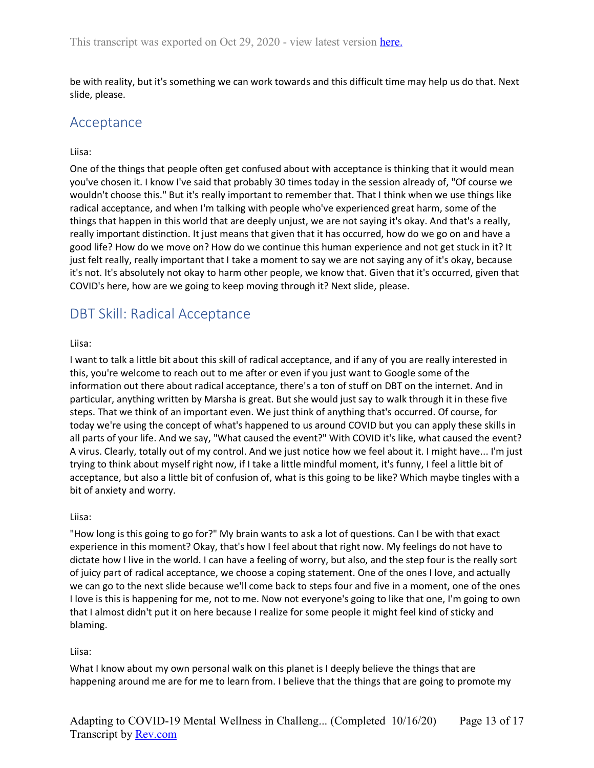be with reality, but it's something we can work towards and this difficult time may help us do that. Next slide, please.

### <span id="page-12-0"></span>Acceptance

#### Liisa:

One of the things that people often get confused about with acceptance is thinking that it would mean you've chosen it. I know I've said that probably 30 times today in the session already of, "Of course we wouldn't choose this." But it's really important to remember that. That I think when we use things like radical acceptance, and when I'm talking with people who've experienced great harm, some of the things that happen in this world that are deeply unjust, we are not saying it's okay. And that's a really, really important distinction. It just means that given that it has occurred, how do we go on and have a good life? How do we move on? How do we continue this human experience and not get stuck in it? It just felt really, really important that I take a moment to say we are not saying any of it's okay, because it's not. It's absolutely not okay to harm other people, we know that. Given that it's occurred, given that COVID's here, how are we going to keep moving through it? Next slide, please.

## <span id="page-12-1"></span>DBT Skill: Radical Acceptance

#### Liisa:

I want to talk a little bit about this skill of radical acceptance, and if any of you are really interested in this, you're welcome to reach out to me after or even if you just want to Google some of the information out there about radical acceptance, there's a ton of stuff on DBT on the internet. And in particular, anything written by Marsha is great. But she would just say to walk through it in these five steps. That we think of an important even. We just think of anything that's occurred. Of course, for today we're using the concept of what's happened to us around COVID but you can apply these skills in all parts of your life. And we say, "What caused the event?" With COVID it's like, what caused the event? A virus. Clearly, totally out of my control. And we just notice how we feel about it. I might have... I'm just trying to think about myself right now, if I take a little mindful moment, it's funny, I feel a little bit of acceptance, but also a little bit of confusion of, what is this going to be like? Which maybe tingles with a bit of anxiety and worry.

#### Liisa:

"How long is this going to go for?" My brain wants to ask a lot of questions. Can I be with that exact experience in this moment? Okay, that's how I feel about that right now. My feelings do not have to dictate how I live in the world. I can have a feeling of worry, but also, and the step four is the really sort of juicy part of radical acceptance, we choose a coping statement. One of the ones I love, and actually we can go to the next slide because we'll come back to steps four and five in a moment, one of the ones I love is this is happening for me, not to me. Now not everyone's going to like that one, I'm going to own that I almost didn't put it on here because I realize for some people it might feel kind of sticky and blaming.

#### Liisa:

What I know about my own personal walk on this planet is I deeply believe the things that are happening around me are for me to learn from. I believe that the things that are going to promote my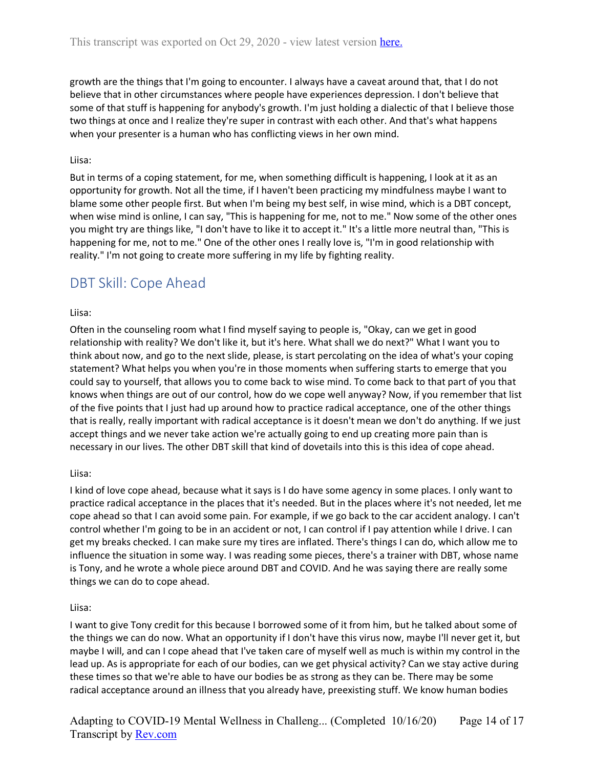growth are the things that I'm going to encounter. I always have a caveat around that, that I do not believe that in other circumstances where people have experiences depression. I don't believe that some of that stuff is happening for anybody's growth. I'm just holding a dialectic of that I believe those two things at once and I realize they're super in contrast with each other. And that's what happens when your presenter is a human who has conflicting views in her own mind.

#### Liisa:

But in terms of a coping statement, for me, when something difficult is happening, I look at it as an opportunity for growth. Not all the time, if I haven't been practicing my mindfulness maybe I want to blame some other people first. But when I'm being my best self, in wise mind, which is a DBT concept, when wise mind is online, I can say, "This is happening for me, not to me." Now some of the other ones you might try are things like, "I don't have to like it to accept it." It's a little more neutral than, "This is happening for me, not to me." One of the other ones I really love is, "I'm in good relationship with reality." I'm not going to create more suffering in my life by fighting reality.

## <span id="page-13-0"></span>DBT Skill: Cope Ahead

#### Liisa:

Often in the counseling room what I find myself saying to people is, "Okay, can we get in good relationship with reality? We don't like it, but it's here. What shall we do next?" What I want you to think about now, and go to the next slide, please, is start percolating on the idea of what's your coping statement? What helps you when you're in those moments when suffering starts to emerge that you could say to yourself, that allows you to come back to wise mind. To come back to that part of you that knows when things are out of our control, how do we cope well anyway? Now, if you remember that list of the five points that I just had up around how to practice radical acceptance, one of the other things that is really, really important with radical acceptance is it doesn't mean we don't do anything. If we just accept things and we never take action we're actually going to end up creating more pain than is necessary in our lives. The other DBT skill that kind of dovetails into this is this idea of cope ahead.

#### Liisa:

I kind of love cope ahead, because what it says is I do have some agency in some places. I only want to practice radical acceptance in the places that it's needed. But in the places where it's not needed, let me cope ahead so that I can avoid some pain. For example, if we go back to the car accident analogy. I can't control whether I'm going to be in an accident or not, I can control if I pay attention while I drive. I can get my breaks checked. I can make sure my tires are inflated. There's things I can do, which allow me to influence the situation in some way. I was reading some pieces, there's a trainer with DBT, whose name is Tony, and he wrote a whole piece around DBT and COVID. And he was saying there are really some things we can do to cope ahead.

#### Liisa:

I want to give Tony credit for this because I borrowed some of it from him, but he talked about some of the things we can do now. What an opportunity if I don't have this virus now, maybe I'll never get it, but maybe I will, and can I cope ahead that I've taken care of myself well as much is within my control in the lead up. As is appropriate for each of our bodies, can we get physical activity? Can we stay active during these times so that we're able to have our bodies be as strong as they can be. There may be some radical acceptance around an illness that you already have, preexisting stuff. We know human bodies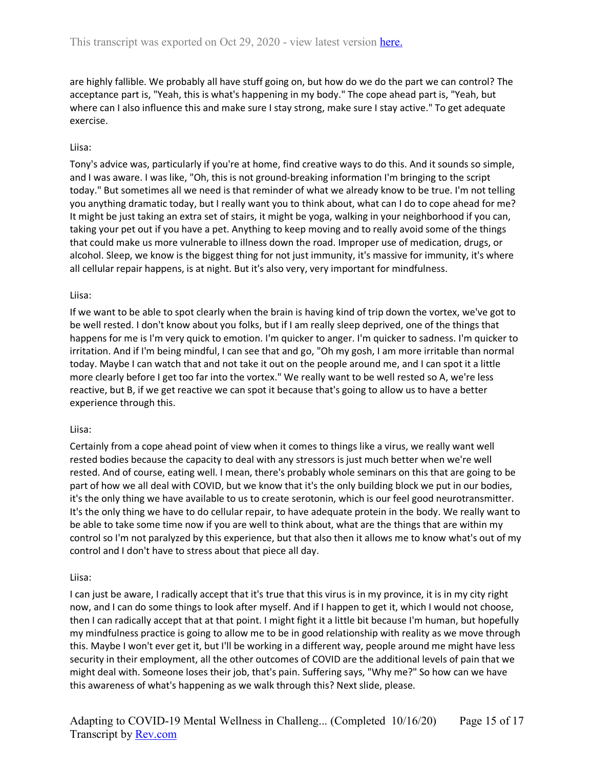are highly fallible. We probably all have stuff going on, but how do we do the part we can control? The acceptance part is, "Yeah, this is what's happening in my body." The cope ahead part is, "Yeah, but where can I also influence this and make sure I stay strong, make sure I stay active." To get adequate exercise.

#### Liisa:

Tony's advice was, particularly if you're at home, find creative ways to do this. And it sounds so simple, and I was aware. I was like, "Oh, this is not ground-breaking information I'm bringing to the script today." But sometimes all we need is that reminder of what we already know to be true. I'm not telling you anything dramatic today, but I really want you to think about, what can I do to cope ahead for me? It might be just taking an extra set of stairs, it might be yoga, walking in your neighborhood if you can, taking your pet out if you have a pet. Anything to keep moving and to really avoid some of the things that could make us more vulnerable to illness down the road. Improper use of medication, drugs, or alcohol. Sleep, we know is the biggest thing for not just immunity, it's massive for immunity, it's where all cellular repair happens, is at night. But it's also very, very important for mindfulness.

#### Liisa:

If we want to be able to spot clearly when the brain is having kind of trip down the vortex, we've got to be well rested. I don't know about you folks, but if I am really sleep deprived, one of the things that happens for me is I'm very quick to emotion. I'm quicker to anger. I'm quicker to sadness. I'm quicker to irritation. And if I'm being mindful, I can see that and go, "Oh my gosh, I am more irritable than normal today. Maybe I can watch that and not take it out on the people around me, and I can spot it a little more clearly before I get too far into the vortex." We really want to be well rested so A, we're less reactive, but B, if we get reactive we can spot it because that's going to allow us to have a better experience through this.

#### Liisa:

Certainly from a cope ahead point of view when it comes to things like a virus, we really want well rested bodies because the capacity to deal with any stressors is just much better when we're well rested. And of course, eating well. I mean, there's probably whole seminars on this that are going to be part of how we all deal with COVID, but we know that it's the only building block we put in our bodies, it's the only thing we have available to us to create serotonin, which is our feel good neurotransmitter. It's the only thing we have to do cellular repair, to have adequate protein in the body. We really want to be able to take some time now if you are well to think about, what are the things that are within my control so I'm not paralyzed by this experience, but that also then it allows me to know what's out of my control and I don't have to stress about that piece all day.

#### Liisa:

I can just be aware, I radically accept that it's true that this virus is in my province, it is in my city right now, and I can do some things to look after myself. And if I happen to get it, which I would not choose, then I can radically accept that at that point. I might fight it a little bit because I'm human, but hopefully my mindfulness practice is going to allow me to be in good relationship with reality as we move through this. Maybe I won't ever get it, but I'll be working in a different way, people around me might have less security in their employment, all the other outcomes of COVID are the additional levels of pain that we might deal with. Someone loses their job, that's pain. Suffering says, "Why me?" So how can we have this awareness of what's happening as we walk through this? Next slide, please.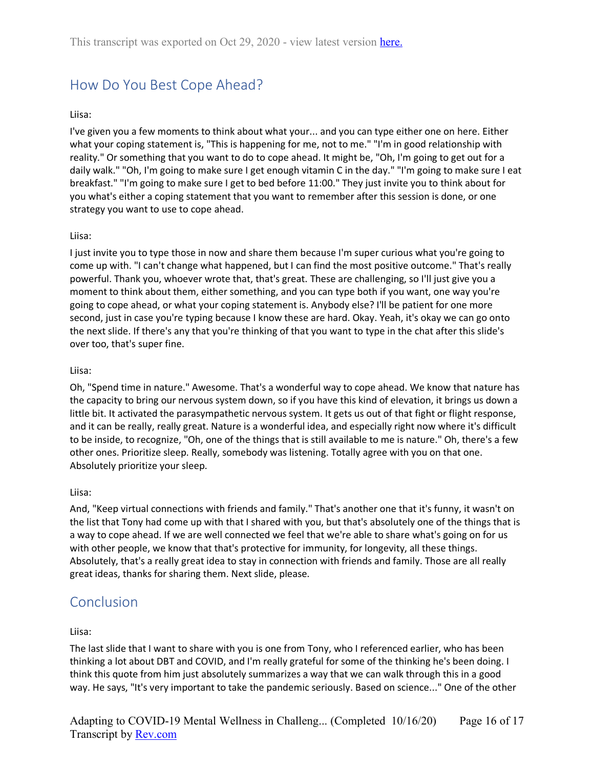# <span id="page-15-0"></span>How Do You Best Cope Ahead?

#### Liisa:

I've given you a few moments to think about what your... and you can type either one on here. Either what your coping statement is, "This is happening for me, not to me." "I'm in good relationship with reality." Or something that you want to do to cope ahead. It might be, "Oh, I'm going to get out for a daily walk." "Oh, I'm going to make sure I get enough vitamin C in the day." "I'm going to make sure I eat breakfast." "I'm going to make sure I get to bed before 11:00." They just invite you to think about for you what's either a coping statement that you want to remember after this session is done, or one strategy you want to use to cope ahead.

#### Liisa:

I just invite you to type those in now and share them because I'm super curious what you're going to come up with. "I can't change what happened, but I can find the most positive outcome." That's really powerful. Thank you, whoever wrote that, that's great. These are challenging, so I'll just give you a moment to think about them, either something, and you can type both if you want, one way you're going to cope ahead, or what your coping statement is. Anybody else? I'll be patient for one more second, just in case you're typing because I know these are hard. Okay. Yeah, it's okay we can go onto the next slide. If there's any that you're thinking of that you want to type in the chat after this slide's over too, that's super fine.

#### Liisa:

Oh, "Spend time in nature." Awesome. That's a wonderful way to cope ahead. We know that nature has the capacity to bring our nervous system down, so if you have this kind of elevation, it brings us down a little bit. It activated the parasympathetic nervous system. It gets us out of that fight or flight response, and it can be really, really great. Nature is a wonderful idea, and especially right now where it's difficult to be inside, to recognize, "Oh, one of the things that is still available to me is nature." Oh, there's a few other ones. Prioritize sleep. Really, somebody was listening. Totally agree with you on that one. Absolutely prioritize your sleep.

#### Liisa:

And, "Keep virtual connections with friends and family." That's another one that it's funny, it wasn't on the list that Tony had come up with that I shared with you, but that's absolutely one of the things that is a way to cope ahead. If we are well connected we feel that we're able to share what's going on for us with other people, we know that that's protective for immunity, for longevity, all these things. Absolutely, that's a really great idea to stay in connection with friends and family. Those are all really great ideas, thanks for sharing them. Next slide, please.

### <span id="page-15-1"></span>Conclusion

#### Liisa:

The last slide that I want to share with you is one from Tony, who I referenced earlier, who has been thinking a lot about DBT and COVID, and I'm really grateful for some of the thinking he's been doing. I think this quote from him just absolutely summarizes a way that we can walk through this in a good way. He says, "It's very important to take the pandemic seriously. Based on science..." One of the other